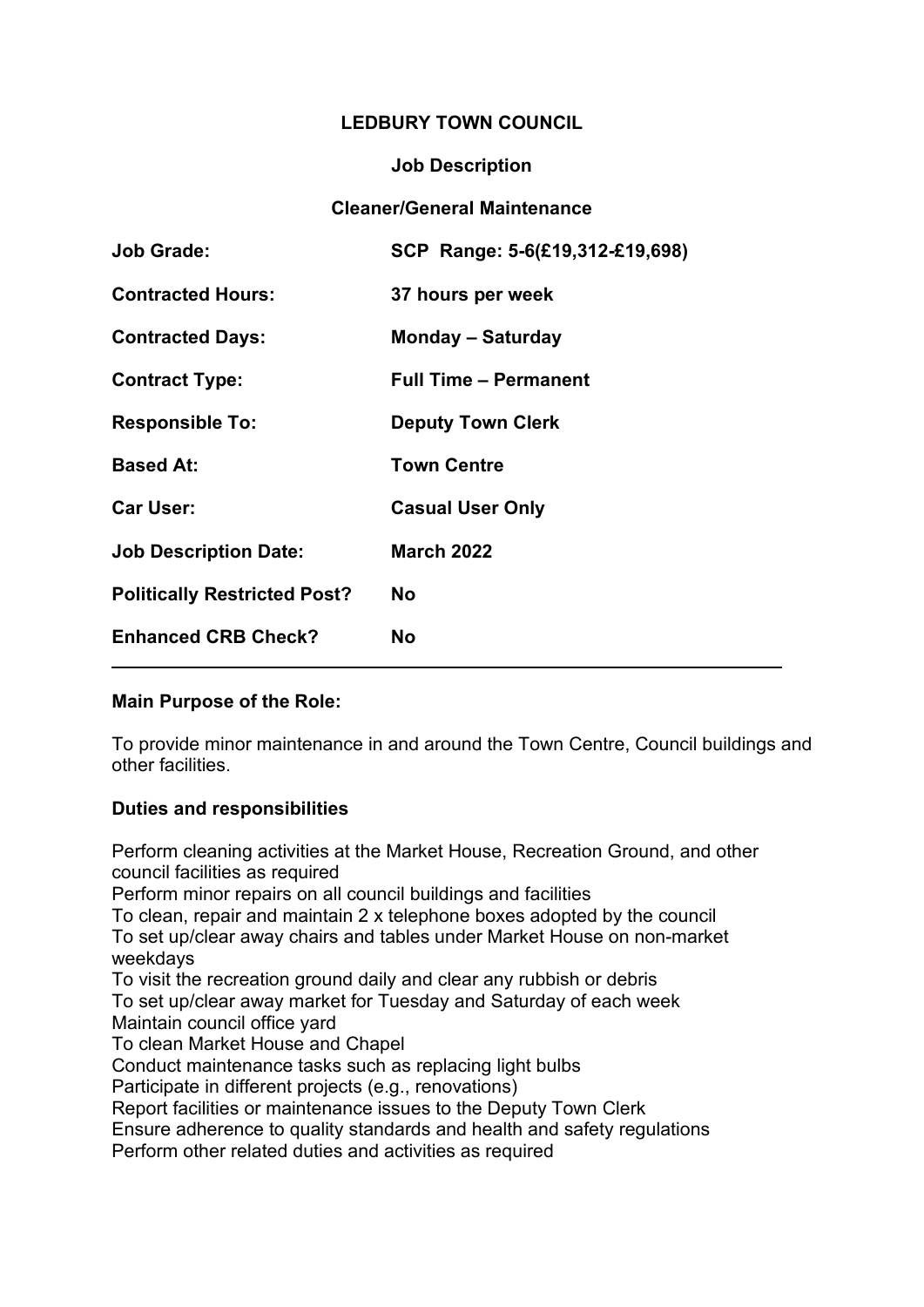# **LEDBURY TOWN COUNCIL**

### **Job Description**

# **Cleaner/General Maintenance**

| <b>Job Grade:</b>                   | SCP Range: 5-6(£19,312-£19,698) |
|-------------------------------------|---------------------------------|
| <b>Contracted Hours:</b>            | 37 hours per week               |
| <b>Contracted Days:</b>             | <b>Monday – Saturday</b>        |
| <b>Contract Type:</b>               | <b>Full Time - Permanent</b>    |
| <b>Responsible To:</b>              | <b>Deputy Town Clerk</b>        |
| <b>Based At:</b>                    | <b>Town Centre</b>              |
| <b>Car User:</b>                    | <b>Casual User Only</b>         |
| <b>Job Description Date:</b>        | <b>March 2022</b>               |
| <b>Politically Restricted Post?</b> | No                              |
| <b>Enhanced CRB Check?</b>          | <b>No</b>                       |
|                                     |                                 |

# **Main Purpose of the Role:**

To provide minor maintenance in and around the Town Centre, Council buildings and other facilities.

# **Duties and responsibilities**

Perform cleaning activities at the Market House, Recreation Ground, and other council facilities as required

Perform minor repairs on all council buildings and facilities

To clean, repair and maintain 2 x telephone boxes adopted by the council To set up/clear away chairs and tables under Market House on non-market weekdays

To visit the recreation ground daily and clear any rubbish or debris

To set up/clear away market for Tuesday and Saturday of each week Maintain council office yard

To clean Market House and Chapel

Conduct maintenance tasks such as replacing light bulbs

Participate in different projects (e.g., renovations)

Report facilities or maintenance issues to the Deputy Town Clerk

Ensure adherence to quality standards and health and safety regulations

Perform other related duties and activities as required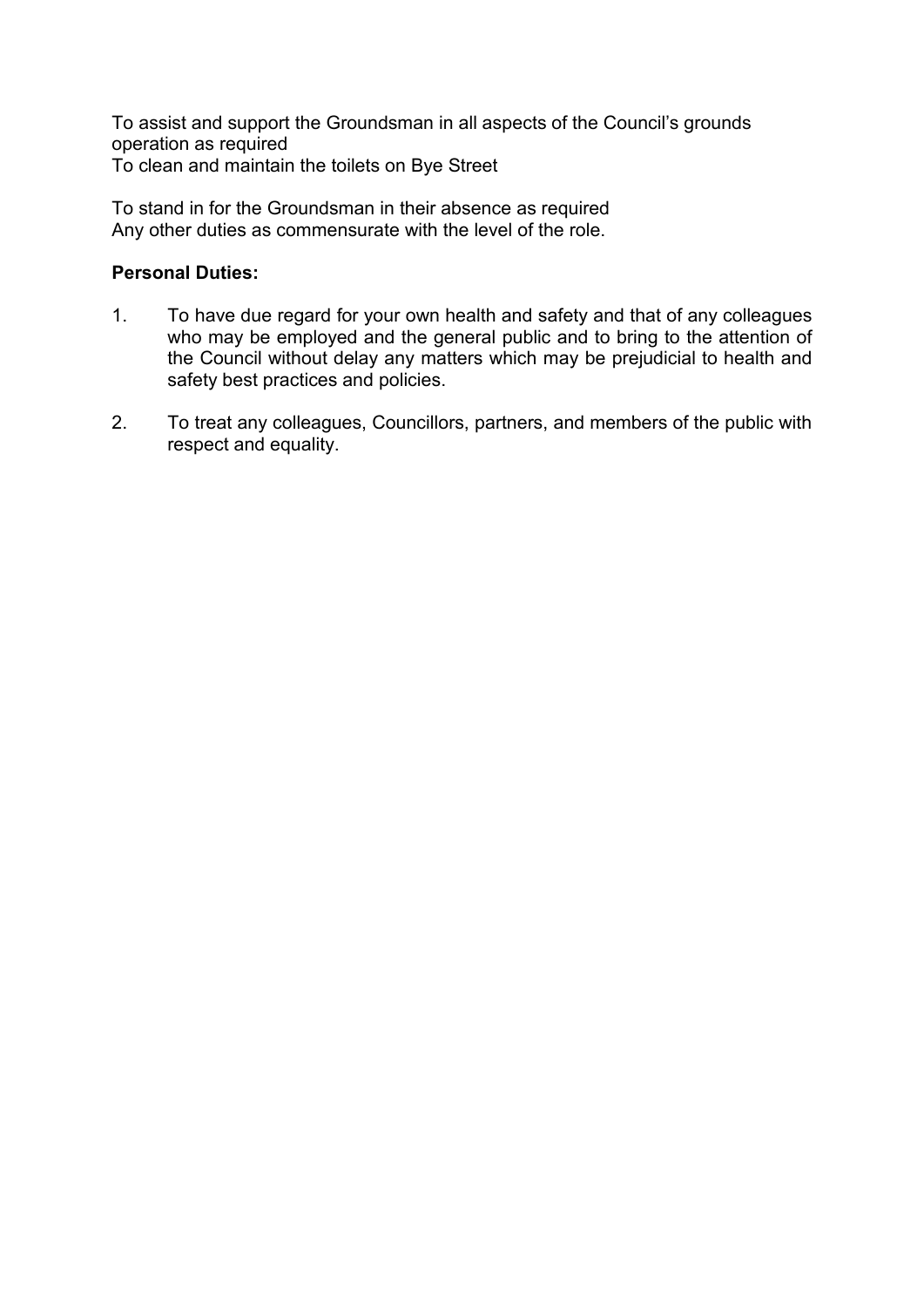To assist and support the Groundsman in all aspects of the Council's grounds operation as required To clean and maintain the toilets on Bye Street

To stand in for the Groundsman in their absence as required Any other duties as commensurate with the level of the role.

# **Personal Duties:**

- 1. To have due regard for your own health and safety and that of any colleagues who may be employed and the general public and to bring to the attention of the Council without delay any matters which may be prejudicial to health and safety best practices and policies.
- 2. To treat any colleagues, Councillors, partners, and members of the public with respect and equality.